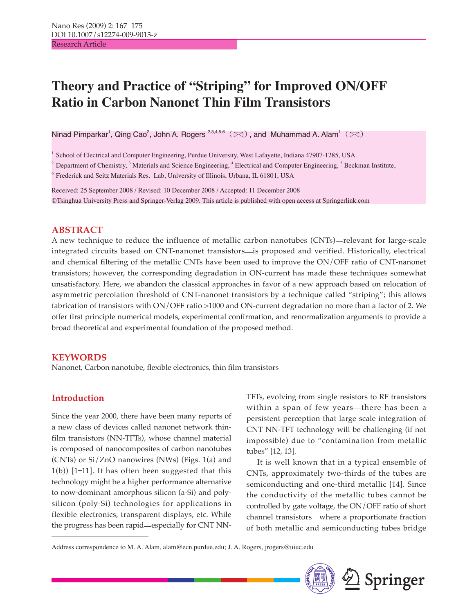# **Theory and Practice of "Striping" for Improved ON/OFF Ratio in Carbon Nanonet Thin Film Transistors**

Ninad Pimparkar<sup>1</sup>, Qing Cao<sup>2</sup>, John A. Rogers  $^{2,3,4,5,6}$   $(\boxtimes)$  , and Muhammad A. Alam<sup>1</sup>  $(\boxtimes)$ 

1 School of Electrical and Computer Engineering, Purdue University, West Lafayette, Indiana 47907-1285, USA

2 Department of Chemistry,<sup>3</sup> Materials and Science Engineering,<sup>4</sup> Electrical and Computer Engineering,<sup>5</sup> Beckman Institute,

6 Frederick and Seitz Materials Res. Lab, University of Illinois, Urbana, IL 61801, USA

Received: 25 September 2008 / Revised: 10 December 2008 / Accepted: 11 December 2008 ©Tsinghua University Press and Springer-Verlag 2009. This article is published with open access at Springerlink.com

## **ABSTRACT**

A new technique to reduce the influence of metallic carbon nanotubes (CNTs)—relevant for large-scale integrated circuits based on CNT-nanonet transistors—is proposed and verified. Historically, electrical and chemical filtering of the metallic CNTs have been used to improve the ON/OFF ratio of CNT-nanonet transistors; however, the corresponding degradation in ON-current has made these techniques somewhat unsatisfactory. Here, we abandon the classical approaches in favor of a new approach based on relocation of asymmetric percolation threshold of CNT-nanonet transistors by a technique called "striping"; this allows fabrication of transistors with ON/OFF ratio >1000 and ON-current degradation no more than a factor of 2. We offer first principle numerical models, experimental confirmation, and renormalization arguments to provide a broad theoretical and experimental foundation of the proposed method.

## **KEYWORDS**

Nanonet, Carbon nanotube, flexible electronics, thin film transistors

## **Introduction**

Since the year 2000, there have been many reports of a new class of devices called nanonet network thinfilm transistors (NN-TFTs), whose channel material is composed of nanocomposites of carbon nanotubes (CNTs) or Si/ZnO nanowires (NWs) (Figs. 1(a) and  $1(b)$ ) [1-11]. It has often been suggested that this technology might be a higher performance alternative to now-dominant amorphous silicon (a-Si) and polysilicon (poly-Si) technologies for applications in flexible electronics, transparent displays, etc. While the progress has been rapid—especially for CNT NN- TFTs, evolving from single resistors to RF transistors within a span of few years—there has been a persistent perception that large scale integration of CNT NN-TFT technology will be challenging (if not impossible) due to "contamination from metallic tubes" [12, 13].

It is well known that in a typical ensemble of CNTs, approximately two-thirds of the tubes are semiconducting and one-third metallic [14]. Since the conductivity of the metallic tubes cannot be controlled by gate voltage, the ON/OFF ratio of short channel transistors-where a proportionate fraction of both metallic and semiconducting tubes bridge

Address correspondence to M. A. Alam, alam@ecn.purdue.edu; J. A. Rogers, jrogers@uiuc.edu

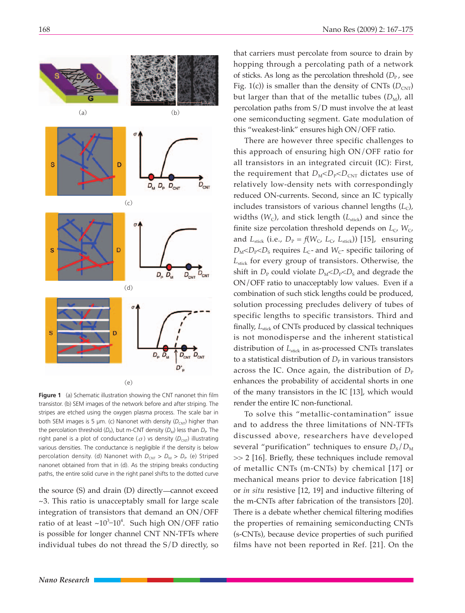

**Figure 1** (a) Schematic illustration showing the CNT nanonet thin film transistor. (b) SEM images of the network before and after striping. The stripes are etched using the oxygen plasma process. The scale bar in both SEM images is 5 μm. (c) Nanonet with density (D<sub>CNT</sub>) higher than the percolation threshold (*D*<sub>P</sub>), but m-CNT density (*D*<sub>M</sub>) less than *D*<sub>P</sub>. The right panel is a plot of conductance ( $\sigma$ ) vs density ( $D_{\text{CNI}}$ ) illustrating various densities. The conductance is negligible if the density is below percolation density. (d) Nanonet with  $D_{\text{CNT}} > D_{\text{M}} > D_{\text{P}}$ . (e) Striped nanonet obtained from that in (d). As the striping breaks conducting paths, the entire solid curve in the right panel shifts to the dotted curve

the source  $(S)$  and drain  $(D)$  directly—cannot exceed ~3. This ratio is unacceptably small for large scale integration of transistors that demand an ON/OFF ratio of at least  $\sim 10^{3}$ -10<sup>4</sup>. Such high ON/OFF ratio is possible for longer channel CNT NN-TFTs where individual tubes do not thread the S/D directly, so

that carriers must percolate from source to drain by hopping through a percolating path of a network of sticks. As long as the percolation threshold  $(D_P)$ , see Fig. 1(c)) is smaller than the density of CNTs  $(D_{\text{CNT}})$ but larger than that of the metallic tubes  $(D_M)$ , all percolation paths from S/D must involve the at least one semiconducting segment. Gate modulation of this "weakest-link" ensures high ON/OFF ratio.

There are however three specific challenges to this approach of ensuring high ON/OFF ratio for all transistors in an integrated circuit (IC): First, the requirement that  $D_M < D_P < D_{\text{CNT}}$  dictates use of relatively low-density nets with correspondingly reduced ON-currents. Second, since an IC typically includes transistors of various channel lengths  $(L<sub>C</sub>)$ , widths  $(W<sub>C</sub>)$ , and stick length  $(L<sub>stick</sub>)$  and since the finite size percolation threshold depends on  $L_c$ ,  $W_c$ , and  $L_{\text{stick}}$  (i.e.,  $D_{\text{P}} = f(W_{\text{C}}, L_{\text{C}}, L_{\text{stick}})$ ) [15], ensuring  $D_M$ < $D_P$ < $D_S$  requires  $L_C$ - and  $W_C$ - specific tailoring of *L*stick for every group of transistors. Otherwise, the shift in  $D_{\rm P}$  could violate  $D_{\rm M}$   $\leq$   $D_{\rm P}$   $\leq$   $D_{\rm S}$  and degrade the ON/OFF ratio to unacceptably low values. Even if a combination of such stick lengths could be produced, solution processing precludes delivery of tubes of specific lengths to specific transistors. Third and finally, L<sub>stick</sub> of CNTs produced by classical techniques is not monodisperse and the inherent statistical distribution of *L*stick in as-processed CNTs translates to a statistical distribution of  $D<sub>P</sub>$  in various transistors across the IC. Once again, the distribution of  $D_P$ enhances the probability of accidental shorts in one of the many transistors in the IC [13], which would render the entire IC non-functional.

To solve this "metallic-contamination" issue and to address the three limitations of NN-TFTs discussed above, researchers have developed several "purification" techniques to ensure  $D_{\rm s}/D_{\rm M}$ >> 2 [16]. Briefly, these techniques include removal of metallic CNTs (m-CNTs) by chemical [17] or mechanical means prior to device fabrication [18] or *in situ* resistive [12, 19] and inductive filtering of the m-CNTs after fabrication of the transistors [20]. There is a debate whether chemical filtering modifies the properties of remaining semiconducting CNTs (s-CNTs), because device properties of such purified films have not been reported in Ref. [21]. On the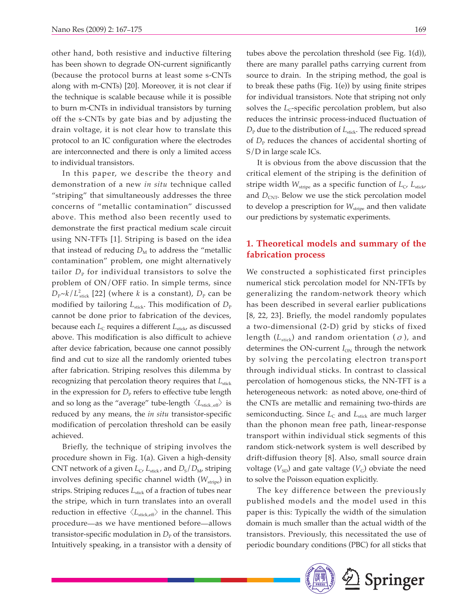other hand, both resistive and inductive filtering has been shown to degrade ON-current significantly (because the protocol burns at least some s-CNTs along with m-CNTs) [20]. Moreover, it is not clear if the technique is scalable because while it is possible to burn m-CNTs in individual transistors by turning off the s-CNTs by gate bias and by adjusting the drain voltage, it is not clear how to translate this protocol to an IC configuration where the electrodes are interconnected and there is only a limited access to individual transistors.

In this paper, we describe the theory and demonstration of a new *in situ* technique called "striping" that simultaneously addresses the three concerns of "metallic contamination" discussed above. This method also been recently used to demonstrate the first practical medium scale circuit using NN-TFTs [1]. Striping is based on the idea that instead of reducing  $D_M$  to address the "metallic" contamination" problem, one might alternatively tailor  $D_{\rm P}$  for individual transistors to solve the problem of ON/OFF ratio. In simple terms, since  $D_P \sim k/L_{\text{stick}}^2$  [22] (where *k* is a constant),  $D_P$  can be modified by tailoring  $L_{\text{stick}}$ . This modification of  $D_{\text{P}}$ cannot be done prior to fabrication of the devices, because each *L*<sub>C</sub> requires a different *L*<sub>stick</sub>, as discussed above. This modification is also difficult to achieve after device fabrication, because one cannot possibly find and cut to size all the randomly oriented tubes after fabrication. Striping resolves this dilemma by recognizing that percolation theory requires that *L*<sub>stick</sub> in the expression for  $D_{\rm P}$  refers to effective tube length and so long as the "average" tube-length  $\langle L_{\text{stick, eff}} \rangle$  is reduced by any means, the *in situ* transistor-specific modification of percolation threshold can be easily achieved.

Briefly, the technique of striping involves the procedure shown in Fig. 1(a). Given a high-density CNT network of a given  $L_C$ ,  $L_{\text{stick}}$ , and  $D_S/D_M$ , striping involves defining specific channel width ( $W_{\text{strip}}$ ) in strips. Striping reduces *L*<sub>stick</sub> of a fraction of tubes near the stripe, which in turn translates into an overall reduction in effective  $\langle L_{\text{stickeff}} \rangle$  in the channel. This procedure—as we have mentioned before—allows transistor-specific modulation in  $D_{\rm P}$  of the transistors. Intuitively speaking, in a transistor with a density of

tubes above the percolation threshold (see Fig. 1(d)), there are many parallel paths carrying current from source to drain. In the striping method, the goal is to break these paths (Fig.  $1(e)$ ) by using finite stripes for individual transistors. Note that striping not only solves the  $L<sub>C</sub>$ -specific percolation problem, but also reduces the intrinsic process-induced fluctuation of *D*<sub>P</sub> due to the distribution of *L*<sub>stick</sub>. The reduced spread of  $D_{\rm P}$  reduces the chances of accidental shorting of S/D in large scale ICs.

It is obvious from the above discussion that the critical element of the striping is the definition of stripe width  $W_{\text{strip}}$  as a specific function of  $L_C$ ,  $L_{\text{stick}}$ and  $D_{\text{CNT}}$ . Below we use the stick percolation model to develop a prescription for  $W_{\text{strip}}$  and then validate our predictions by systematic experiments.

### **1. Theoretical models and summary of the fabrication process**

We constructed a sophisticated first principles numerical stick percolation model for NN-TFTs by generalizing the random-network theory which has been described in several earlier publications [8, 22, 23]. Briefly, the model randomly populates a two-dimensional (2-D) grid by sticks of fixed length ( $L_{\text{stick}}$ ) and random orientation ( $\sigma$ ), and determines the ON-current  $I_{ON}$  through the network by solving the percolating electron transport through individual sticks. In contrast to classical percolation of homogenous sticks, the NN-TFT is a heterogeneous network: as noted above, one-third of the CNTs are metallic and remaining two-thirds are semiconducting. Since  $L_c$  and  $L_{\text{stick}}$  are much larger than the phonon mean free path, linear-response transport within individual stick segments of this random stick-network system is well described by drift-diffusion theory [8]. Also, small source drain voltage  $(V_{SD})$  and gate valtage  $(V_G)$  obviate the need to solve the Poisson equation explicitly.

The key difference between the previously published models and the model used in this paper is this: Typically the width of the simulation domain is much smaller than the actual width of the transistors. Previously, this necessitated the use of periodic boundary conditions (PBC) for all sticks that

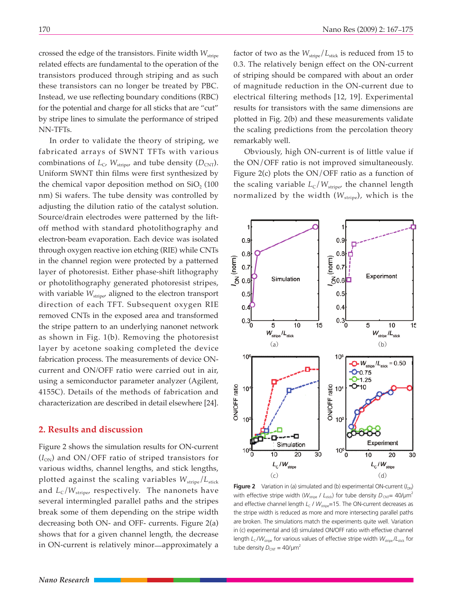crossed the edge of the transistors. Finite width  $W_{\text{strip}}$ related effects are fundamental to the operation of the transistors produced through striping and as such these transistors can no longer be treated by PBC. Instead, we use reflecting boundary conditions (RBC) for the potential and charge for all sticks that are "cut" by stripe lines to simulate the performance of striped NN-TFTs.

In order to validate the theory of striping, we fabricated arrays of SWNT TFTs with various combinations of  $L_c$ ,  $W_{\text{strip}}$ , and tube density ( $D_{\text{CNT}}$ ). Uniform SWNT thin films were first synthesized by the chemical vapor deposition method on  $SiO<sub>2</sub>$  (100) nm) Si wafers. The tube density was controlled by adjusting the dilution ratio of the catalyst solution. Source/drain electrodes were patterned by the liftoff method with standard photolithography and electron-beam evaporation. Each device was isolated through oxygen reactive ion etching (RIE) while CNTs in the channel region were protected by a patterned layer of photoresist. Either phase-shift lithography or photolithography generated photoresist stripes, with variable  $W_{\text{strip}}$ , aligned to the electron transport direction of each TFT. Subsequent oxygen RIE removed CNTs in the exposed area and transformed the stripe pattern to an underlying nanonet network as shown in Fig. 1(b). Removing the photoresist layer by acetone soaking completed the device fabrication process. The measurements of device ONcurrent and ON/OFF ratio were carried out in air, using a semiconductor parameter analyzer (Agilent, 4155C). Details of the methods of fabrication and characterization are described in detail elsewhere [24].

#### **2. Results and discussion**

Figure 2 shows the simulation results for ON-current  $(I_{ON})$  and ON/OFF ratio of striped transistors for various widths, channel lengths, and stick lengths, plotted against the scaling variables  $W_{\text{strip}}/L_{\text{stick}}$ and  $L_c/W_{\text{strip}}$ , respectively. The nanonets have several intermingled parallel paths and the stripes break some of them depending on the stripe width decreasing both ON- and OFF- currents. Figure 2(a) shows that for a given channel length, the decrease in ON-current is relatively minor—approximately a

 $10<sup>6</sup>$ 

factor of two as the  $W_{\text{strip}}/L_{\text{stick}}$  is reduced from 15 to 0.3. The relatively benign effect on the ON-current of striping should be compared with about an order of magnitude reduction in the ON-current due to electrical filtering methods [12, 19]. Experimental results for transistors with the same dimensions are plotted in Fig. 2(b) and these measurements validate the scaling predictions from the percolation theory remarkably well.

Obviously, high ON-current is of little value if the ON/OFF ratio is not improved simultaneously. Figure 2(c) plots the ON/OFF ratio as a function of the scaling variable  $L_C/W_{\text{strip}}$ , the channel length normalized by the width ( $W_{\text{strip}}$ ), which is the



**Figure 2** Variation in (a) simulated and (b) experimental ON-current  $(l_{ON})$ with effective stripe width ( $W_{\text{strip}}$  /  $L_{\text{stick}}$ ) for tube density  $D_{\text{CNT}}= 40/\mu\text{m}^2$ and effective channel length  $L_c$  /  $W_{\text{strine}}$ =15. The ON-current decreases as the stripe width is reduced as more and more intersecting parallel paths are broken. The simulations match the experiments quite well. Variation in (c) experimental and (d) simulated ON/OFF ratio with effective channel length *L<sub>C</sub>* /*W<sub>stripe</sub>* for various values of effective stripe width *W<sub>stripe</sub>* /*L<sub>stick</sub>* for tube density  $D_{\text{CNT}} = 40/\mu\text{m}^2$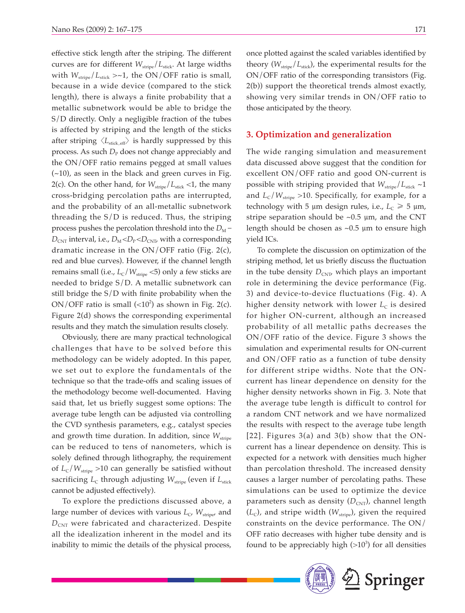effective stick length after the striping. The different curves are for different  $W_{\text{strip}}/L_{\text{stick}}$ . At large widths with  $W_{\text{strip}}/L_{\text{stick}} > \sim 1$ , the ON/OFF ratio is small, because in a wide device (compared to the stick length), there is always a finite probability that a metallic subnetwork would be able to bridge the S/D directly. Only a negligible fraction of the tubes is affected by striping and the length of the sticks after striping  $\langle L_{\text{stick, eff}} \rangle$  is hardly suppressed by this process. As such  $D_P$  does not change appreciably and the ON/OFF ratio remains pegged at small values (~10), as seen in the black and green curves in Fig. 2(c). On the other hand, for  $W_{\text{strip}}/L_{\text{stick}} < 1$ , the many cross-bridging percolation paths are interrupted, and the probability of an all-metallic subnetwork threading the S/D is reduced. Thus, the striping process pushes the percolation threshold into the  $D_M$  –  $D_{\text{CNT}}$  interval, i.e.,  $D_{\text{M}} < D_{\text{P}} < D_{\text{CNT}}$  with a corresponding dramatic increase in the ON/OFF ratio (Fig. 2(c), red and blue curves). However, if the channel length remains small (i.e.,  $L_C/W_{\text{strip}}$  <5) only a few sticks are needed to bridge S/D. A metallic subnetwork can still bridge the  $S/D$  with finite probability when the ON/OFF ratio is small  $\left($  < 10<sup>2</sup> $\right)$  as shown in Fig. 2(c). Figure 2(d) shows the corresponding experimental results and they match the simulation results closely.

Obviously, there are many practical technological challenges that have to be solved before this methodology can be widely adopted. In this paper, we set out to explore the fundamentals of the technique so that the trade-offs and scaling issues of the methodology become well-documented. Having said that, let us briefly suggest some options: The average tube length can be adjusted via controlling the CVD synthesis parameters, e.g., catalyst species and growth time duration. In addition, since  $W_{\text{strip}}$ can be reduced to tens of nanometers, which is solely defined through lithography, the requirement of  $L_c/W_{\text{stripe}} > 10$  can generally be satisfied without sacrificing *L*<sub>C</sub> through adjusting *W*<sub>stripe</sub> (even if *L*<sub>stick</sub> cannot be adjusted effectively).

To explore the predictions discussed above, a large number of devices with various *L*<sub>C</sub>, *W*<sub>stripe</sub>, and *D*<sub>CNT</sub> were fabricated and characterized. Despite all the idealization inherent in the model and its inability to mimic the details of the physical process,

once plotted against the scaled variables identified by theory ( $W_{\text{strip}}/L_{\text{stick}}$ ), the experimental results for the ON/OFF ratio of the corresponding transistors (Fig. 2(b)) support the theoretical trends almost exactly, showing very similar trends in ON/OFF ratio to those anticipated by the theory.

#### **3. Optimization and generalization**

The wide ranging simulation and measurement data discussed above suggest that the condition for excellent ON/OFF ratio and good ON-current is possible with striping provided that  $W_{\text{strip}}/L_{\text{stick}} \sim 1$ and  $L_c/W_{\text{strip}}$  >10. Specifically, for example, for a technology with 5  $\mu$ m design rules, i.e.,  $L_C \ge 5 \mu$ m, stripe separation should be  $\sim 0.5$   $\mu$ m, and the CNT length should be chosen as  $\sim 0.5$  µm to ensure high yield ICs.

To complete the discussion on optimization of the striping method, let us briefly discuss the fluctuation in the tube density  $D_{\text{CNT}}$ , which plays an important role in determining the device performance (Fig. 3) and device-to-device fluctuations (Fig. 4). A higher density network with lower  $L_c$  is desired for higher ON-current, although an increased probability of all metallic paths decreases the ON/OFF ratio of the device. Figure 3 shows the simulation and experimental results for ON-current and ON/OFF ratio as a function of tube density for different stripe widths. Note that the ONcurrent has linear dependence on density for the higher density networks shown in Fig. 3. Note that the average tube length is difficult to control for a random CNT network and we have normalized the results with respect to the average tube length [22]. Figures 3(a) and 3(b) show that the ONcurrent has a linear dependence on density. This is expected for a network with densities much higher than percolation threshold. The increased density causes a larger number of percolating paths. These simulations can be used to optimize the device parameters such as density (D<sub>CNT</sub>), channel length  $(L<sub>C</sub>)$ , and stripe width ( $W<sub>stripe</sub>$ ), given the required constraints on the device performance. The ON/ OFF ratio decreases with higher tube density and is found to be appreciably high  $(>10^3)$  for all densities

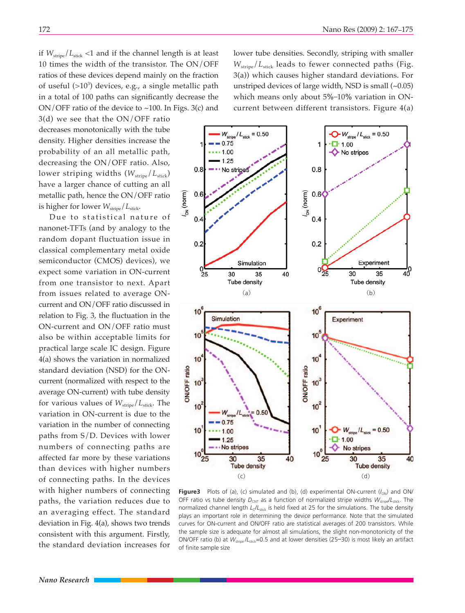if  $W_{\text{strip}}/L_{\text{stick}} < 1$  and if the channel length is at least 10 times the width of the transistor. The ON/OFF ratios of these devices depend mainly on the fraction of useful  $(>10^3)$  devices, e.g., a single metallic path in a total of 100 paths can significantly decrease the ON/OFF ratio of the device to ~100. In Figs. 3(c) and

3(d) we see that the ON/OFF ratio decreases monotonically with the tube density. Higher densities increase the probability of an all metallic path, decreasing the ON/OFF ratio. Also, lower striping widths ( $W_{\text{strip}}/L_{\text{stick}}$ ) have a larger chance of cutting an all metallic path, hence the ON/OFF ratio is higher for lower  $W_{\text{strip}}/L_{\text{stick}}$ .

Due to statistical nature of nanonet-TFTs (and by analogy to the random dopant fluctuation issue in classical complementary metal oxide semiconductor (CMOS) devices), we expect some variation in ON-current from one transistor to next. Apart from issues related to average ONcurrent and ON/OFF ratio discussed in relation to Fig. 3, the fluctuation in the ON-current and ON/OFF ratio must also be within acceptable limits for practical large scale IC design. Figure 4(a) shows the variation in normalized standard deviation (NSD) for the ONcurrent (normalized with respect to the average ON-current) with tube density for various values of  $W_{\text{strip}}/L_{\text{stick}}$ . The variation in ON-current is due to the variation in the number of connecting paths from S/D. Devices with lower numbers of connecting paths are affected far more by these variations than devices with higher numbers of connecting paths. In the devices with higher numbers of connecting paths, the variation reduces due to an averaging effect. The standard deviation in Fig. 4(a), shows two trends consistent with this argument. Firstly, the standard deviation increases for

lower tube densities. Secondly, striping with smaller *W*<sub>stripe</sub>/*L*<sub>stick</sub> leads to fewer connected paths (Fig. 3(a)) which causes higher standard deviations. For unstriped devices of large width, NSD is small  $(-0.05)$ which means only about 5%-10% variation in ONcurrent between different transistors. Figure 4(a)



**Figure3** Plots of (a), (c) simulated and (b), (d) experimental ON-current ( $I_{ON}$ ) and ON/ OFF ratio vs tube density  $D_{\text{CNT}}$  as a function of normalized stripe widths  $W_{\text{strip}}/L_{\text{stick}}$ . The normalized channel length *L*<sub>C</sub>/*L*<sub>stick</sub> is held fixed at 25 for the simulations. The tube density plays an important role in determining the device performance. Note that the simulated curves for ON-current and ON/OFF ratio are statistical averages of 200 transistors. While the sample size is adequate for almost all simulations, the slight non-monotonicity of the ON/OFF ratio (b) at  $W_{\text{strip}}/L_{\text{stick}} = 0.5$  and at lower densities (25-30) is most likely an artifact of finite sample size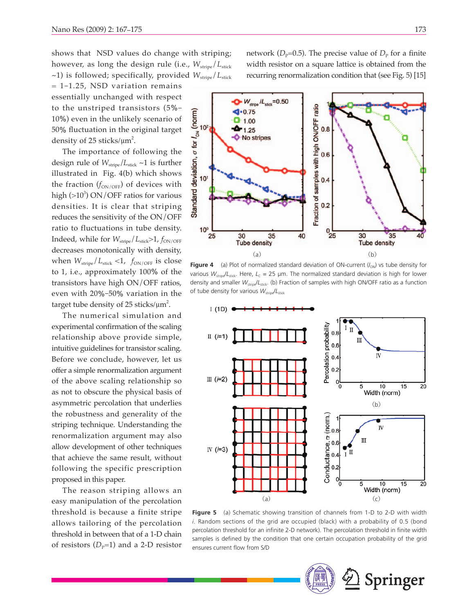shows that NSD values do change with striping; however, as long the design rule (i.e.,  $W_{\text{strip}}/L_{\text{stick}}$ ~1) is followed; specifically, provided  $W_{\text{strip}}/L_{\text{stick}}$ 

 $= 1 - 1.25$ , NSD variation remains essentially unchanged with respect to the unstriped transistors (5% 10%) even in the unlikely scenario of 50% fluctuation in the original target density of 25 sticks/ $\mu$ m<sup>2</sup>.

The importance of following the design rule of  $W_{\text{strip}}/L_{\text{stick}} \sim 1$  is further illustrated in Fig. 4(b) which shows the fraction  $(f_{ON/OFF})$  of devices with high  $(>10^3)$  ON/OFF ratios for various densities. It is clear that striping reduces the sensitivity of the ON/OFF ratio to fluctuations in tube density. Indeed, while for  $W_{\text{strip}}/L_{\text{stick}}$  >1,  $f_{\text{ON/OFF}}$ decreases monotonically with density, when  $W_{\text{strip}}/L_{\text{stick}} < 1$ ,  $f_{\text{ON/OFF}}$  is close to 1, i.e., approximately 100% of the transistors have high ON/OFF ratios, even with 20%-50% variation in the target tube density of 25 sticks/ $\mu$ m<sup>2</sup>.

The numerical simulation and experimental confirmation of the scaling relationship above provide simple, intuitive guidelines for transistor scaling. Before we conclude, however, let us offer a simple renormalization argument of the above scaling relationship so as not to obscure the physical basis of asymmetric percolation that underlies the robustness and generality of the striping technique. Understanding the renormalization argument may also allow development of other techniques that achieve the same result, without following the specific prescription proposed in this paper.

The reason striping allows an easy manipulation of the percolation threshold is because a finite stripe allows tailoring of the percolation threshold in between that of a 1-D chain of resistors  $(D_p=1)$  and a 2-D resistor network ( $D_p$ =0.5). The precise value of  $D_p$  for a finite width resistor on a square lattice is obtained from the recurring renormalization condition that (see Fig. 5) [15]



**Figure 4** (a) Plot of normalized standard deviation of ON-current  $(l_{ON})$  vs tube density for various  $W_{\text{strip}}/L_{\text{stick}}$ . Here,  $L_c = 25$  µm. The normalized standard deviation is high for lower density and smaller *W*stripe/*L*stick. (b) Fraction of samples with high ON/OFF ratio as a function of tube density for various  $W_{\text{strip}}/L_{\text{stick}}$ 



**Figure 5** (a) Schematic showing transition of channels from 1-D to 2-D with width *i*. Random sections of the grid are occupied (black) with a probability of 0.5 (bond percolation threshold for an infinite 2-D network). The percolation threshold in finite width samples is defined by the condition that one certain occupation probability of the grid ensures current flow from S/D

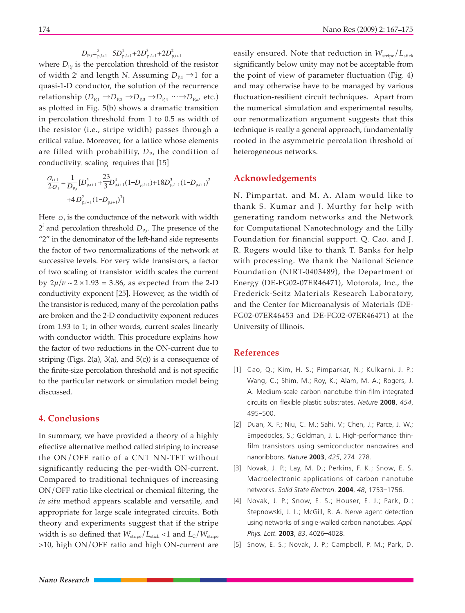$D_{\mathrm{P},i} = ^{5}_{\mathrm{p},i+1} - 5 D_{\mathrm{p},i+1}^{4} + 2 D_{\mathrm{p},i+1}^{3} + 2 D_{\mathrm{p},i+1}^{2}$ 

where  $D_{P,j}$  is the percolation threshold of the resistor of width  $2^j$  and length *N*. Assuming  $D_{p,1} \rightarrow 1$  for a quasi-1-D conductor, the solution of the recurrence relationship  $(D_{P,1} \rightarrow D_{P,2} \rightarrow D_{P,3} \rightarrow D_{P,4} \cdots \rightarrow D_{P,\alpha}$ , etc.) as plotted in Fig. 5(b) shows a dramatic transition in percolation threshold from 1 to 0.5 as width of the resistor (i.e., stripe width) passes through a critical value. Moreover, for a lattice whose elements are filled with probability,  $D_{P,i}$  the condition of conductivity, scaling requires that [15]

$$
\frac{\sigma_{i+1}}{2\sigma_i} = \frac{1}{D_{p,i}} [D_{p,i+1}^5 + \frac{23}{3} D_{p,i+1}^4 (1 - D_{p,i+1}) + 18 D_{p,i+1}^3 (1 - D_{p,i+1})^2
$$
  
+4 D\_{p,i+1}^2 (1 - D\_{p,i+1})^3]

Here  $\sigma_i$  is the conductance of the network with width  $2<sup>i</sup>$  and percolation threshold  $D_{P,i}$ . The presence of the "2" in the denominator of the left-hand side represents the factor of two renormalizations of the network at successive levels. For very wide transistors, a factor of two scaling of transistor width scales the current by  $2\mu/\nu \sim 2 \times 1.93 = 3.86$ , as expected from the 2-D conductivity exponent [25]. However, as the width of the transistor is reduced, many of the percolation paths are broken and the 2-D conductivity exponent reduces from 1.93 to 1; in other words, current scales linearly with conductor width. This procedure explains how the factor of two reductions in the ON-current due to striping (Figs. 2(a), 3(a), and  $5(c)$ ) is a consequence of the finite-size percolation threshold and is not specific to the particular network or simulation model being discussed.

#### **4. Conclusions**

In summary, we have provided a theory of a highly effective alternative method called striping to increase the ON/OFF ratio of a CNT NN-TFT without significantly reducing the per-width ON-current. Compared to traditional techniques of increasing ON/OFF ratio like electrical or chemical filtering, the *in situ* method appears scalable and versatile, and appropriate for large scale integrated circuits. Both theory and experiments suggest that if the stripe width is so defined that  $W_{\text{strip}}/L_{\text{stick}} < 1$  and  $L_C/W_{\text{strip}}$ >10, high ON/OFF ratio and high ON-current are

easily ensured. Note that reduction in  $W_{\text{strip}}/L_{\text{stick}}$ significantly below unity may not be acceptable from the point of view of parameter fluctuation (Fig. 4) and may otherwise have to be managed by various fluctuation-resilient circuit techniques. Apart from the numerical simulation and experimental results, our renormalization argument suggests that this technique is really a general approach, fundamentally rooted in the asymmetric percolation threshold of heterogeneous networks.

#### **Acknowledgements**

N. Pimpartat. and M. A. Alam would like to thank S. Kumar and J. Murthy for help with generating random networks and the Network for Computational Nanotechnology and the Lilly Foundation for financial support. Q. Cao. and J. R. Rogers would like to thank T. Banks for help with processing. We thank the National Science Foundation (NIRT-0403489), the Department of Energy (DE-FG02-07ER46471), Motorola, Inc., the Frederick-Seitz Materials Research Laboratory, and the Center for Microanalysis of Materials (DE-FG02-07ER46453 and DE-FG02-07ER46471) at the University of Illinois.

#### **References**

- [1] Cao, Q.; Kim, H. S.; Pimparkar, N.; Kulkarni, J. P.; Wang, C.; Shim, M.; Roy, K.; Alam, M. A.; Rogers, J. A. Medium-scale carbon nanotube thin-film integrated circuits on flexible plastic substrates. Nature 2008, 454, 495 - 500.
- [2] Duan, X. F.; Niu, C. M.; Sahi, V.; Chen, J.; Parce, J. W.; Empedocles, S.; Goldman, J. L. High-performance thinfilm transistors using semiconductor nanowires and nanoribbons. *Nature* **2003**, *425*, 274 278.
- [3] Novak, J. P.; Lay, M. D.; Perkins, F. K.; Snow, E. S. Macroelectronic applications of carbon nanotube networks. *Solid State Electron*. **2004**, *48*, 1753 1756.
- [4] Novak, J. P.; Snow, E. S.; Houser, E. J.; Park, D.; Stepnowski, J. L.; McGill, R. A. Nerve agent detection using networks of single-walled carbon nanotubes. *Appl. Phys. Lett.* 2003, 83, 4026-4028.
- [5] Snow, E. S.; Novak, J. P.; Campbell, P. M.; Park, D.